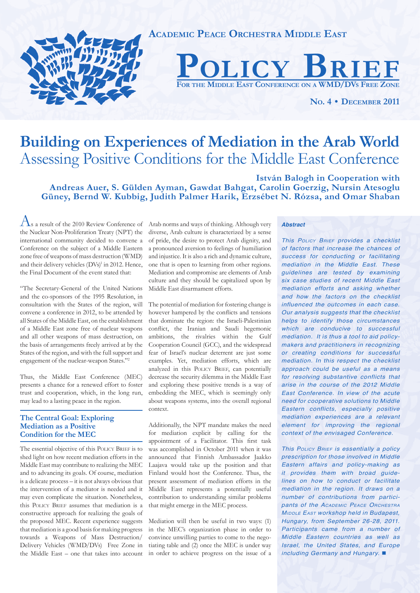

# **Building on Experiences of Mediation in the Arab World** Assessing Positive Conditions for the Middle East Conference

**István Balogh in Cooperation with Andreas Auer, S. Gülden Ayman, Gawdat Bahgat, Carolin Goerzig, Nursin Atesoglu Güney, Bernd W. Kubbig, Judith Palmer Harik, Erzsébet N. Rózsa, and Omar Shaban**

As a result of the 2010 Review Conference of the Nuclear Non-Proliferation Treaty (NPT) the international community decided to convene a Conference on the subject of a Middle Eastern zone free of weapons of mass destruction (WMD) and their delivery vehicles (DVs)<sup>1</sup> in 2012. Hence, the Final Document of the event stated that:

"The Secretary-General of the United Nations and the co-sponsors of the 1995 Resolution, in consultation with the States of the region, will convene a conference in 2012, to be attended by all States of the Middle East, on the establishment of a Middle East zone free of nuclear weapons and all other weapons of mass destruction, on the basis of arrangements freely arrived at by the States of the region, and with the full support and engagement of the nuclear-weapon States."2

Thus, the Middle East Conference (MEC) presents a chance for a renewed effort to foster trust and cooperation, which, in the long run, may lead to a lasting peace in the region.

# **The Central Goal: Exploring Mediation as a Positive Condition for the MEC**

The essential objective of this POLICY BRIEF is to shed light on how recent mediation efforts in the Middle East may contribute to realizing the MEC and to advancing its goals. Of course, mediation is a delicate process – it is not always obvious that the intervention of a mediator is needed and it may even complicate the situation. Nonetheless, this POLICY BRIEF assumes that mediation is a constructive approach for realizing the goals of the proposed MEC. Recent experience suggests that mediation is a good basis for making progress towards a Weapons of Mass Destruction/ Delivery Vehicles (WMD/DVs) Free Zone in the Middle East – one that takes into account Arab norms and ways of thinking. Although very diverse, Arab culture is characterized by a sense of pride, the desire to protect Arab dignity, and a pronounced aversion to feelings of humiliation and injustice. It is also a rich and dynamic culture, one that is open to learning from other regions. Mediation and compromise are elements of Arab culture and they should be capitalized upon by Middle East disarmament efforts.

The potential of mediation for fostering change is however hampered by the conflicts and tensions that dominate the region: the Israeli-Palestinian conflict, the Iranian and Saudi hegemonic ambitions, the rivalries within the Gulf Cooperation Council (GCC), and the widespread fear of Israel's nuclear deterrent are just some examples. Yet, mediation efforts, which are analyzed in this POLICY BRIEF, can potentially decrease the security dilemma in the Middle East and exploring these positive trends is a way of embedding the MEC, which is seemingly only about weapons systems, into the overall regional context.

Additionally, the NPT mandate makes the need for mediation explicit by calling for the appointment of a Facilitator. This first task was accomplished in October 2011 when it was announced that Finnish Ambassador Jaakko Laajava would take up the position and that Finland would host the Conference. Thus, the present assessment of mediation efforts in the Middle East represents a potentially useful contribution to understanding similar problems that might emerge in the MEC process.

Mediation will then be useful in two ways: (1) in the MEC's organization phase in order to convince unwilling parties to come to the negotiating table and (2) once the MEC is under way in order to achieve progress on the issue of a

#### *Abstract*

*This POLICY BRIEF provides a checklist of factors that increase the chances of success for conducting or facilitating mediation in the Middle East. These guidelines are tested by examining six case studies of recent Middle East mediation efforts and asking whether and how the factors on the checklist influenced the outcomes in each case. Our analysis suggests that the checklist helps to identify those circumstances which are conducive to successful mediation. It is thus a tool to aid policymakers and practitioners in recognizing or creating conditions for successful mediation. In this respect the checklist approach could be useful as a means for resolving substantive conflicts that arise in the course of the 2012 Middle East Conference. In view of the acute need for cooperative solutions to Middle Eastern conflicts, especially positive mediation experiences are a relevant element for improving the regional context of the envisaged Conference.*

*This POLICY BRIEF is essentially a policy prescription for those involved in Middle Eastern affairs and policy-making as it provides them with broad guidelines on how to conduct or facilitate mediation in the region. It draws on a number of contributions from participants of the ACADEMIC PEACE ORCHESTRA MIDDLE EAST workshop held in Budapest, Hungary, from September 26-28, 2011. Participants came from a number of Middle Eastern countries as well as Israel, the United States, and Europe including Germany and Hungary.*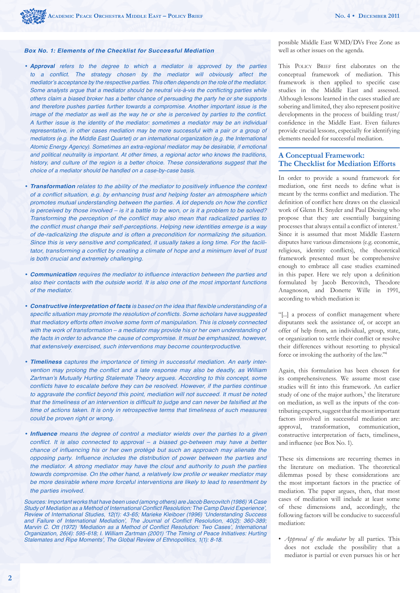# *Box No. 1: Elements of the Checklist for Successful Mediation*

- *Approval refers to the degree to which a mediator is approved by the parties*  to a conflict. The strategy chosen by the mediator will obviously affect the *mediator's acceptance by the respective parties. This often depends on the role of the mediator.*  Some analysts argue that a mediator should be neutral vis-à-vis the conflicting parties while *others claim a biased broker has a better chance of persuading the party he or she supports and therefore pushes parties further towards a compromise. Another important issue is the*  image of the mediator as well as the way he or she is perceived by parties to the conflict. *A further issue is the identity of the mediator: sometimes a mediator may be an individual representative, in other cases mediation may be more successful with a pair or a group of mediators (e.g. the Middle East Quartet) or an international organization (e.g. the International Atomic Energy Agency). Sometimes an extra-regional mediator may be desirable, if emotional and political neutrality is important. At other times, a regional actor who knows the traditions,*  history, and culture of the region is a better choice. These considerations suggest that the *choice of a mediator should be handled on a case-by-case basis.*
- **Transformation** relates to the ability of the mediator to positively influence the context of a conflict situation, e.g. by enhancing trust and helping foster an atmosphere which promotes mutual understanding between the parties. A lot depends on how the conflict *is perceived by those involved – is it a battle to be won, or is it a problem to be solved?*  Transforming the perception of the conflict may also mean that radicalized parties to the conflict must change their self-perceptions. Helping new identities emerge is a way *of de-radicalizing the dispute and is often a precondition for normalizing the situation. Since this is very sensitive and complicated, it usually takes a long time. For the facili*tator, transforming a conflict by creating a climate of hope and a minimum level of trust *is both crucial and extremely challenging.*
- Communication requires the mediator to influence interaction between the parties and *also their contacts with the outside world. It is also one of the most important functions of the mediator.*
- Constructive interpretation of facts is based on the idea that flexible understanding of a specific situation may promote the resolution of conflicts. Some scholars have suggested *that mediatory efforts often involve some form of manipulation. This is closely connected with the work of transformation – a mediator may provide his or her own understanding of the facts in order to advance the cause of compromise. It must be emphasized, however, that extensively exercised, such interventions may become counterproductive.*
- *Timeliness captures the importance of timing in successful mediation. An early inter*vention may prolong the conflict and a late response may also be deadly, as William *Zartman's Mutually Hurting Stalemate Theory argues. According to this concept, some*  conflicts have to escalate before they can be resolved. However, if the parties continue to aggravate the conflict beyond this point, mediation will not succeed. It must be noted that the timeliness of an intervention is difficult to judge and can never be falsified at the *time of actions taken. It is only in retrospective terms that timeliness of such measures could be proven right or wrong.*
- Influence means the degree of control a mediator wields over the parties to a given conflict. It is also connected to approval  $-$  a biased go-between may have a better chance of influencing his or her own protégé but such an approach may alienate the opposing party. Influence includes the distribution of power between the parties and *the mediator. A strong mediator may have the clout and authority to push the parties*  towards compromise. On the other hand, a relatively low profile or weaker mediator may *be more desirable where more forceful interventions are likely to lead to resentment by the parties involved.*

*Sources: Important works that have been used (among others) are Jacob Bercovitch (1986) 'A Case*  Study of Mediation as a Method of International Conflict Resolution: The Camp David Experience', Review of International Studies, 12(1): 43-65; Marieke Kleiboer (1996) 'Understanding Success and Failure of International Mediation', The Journal of Conflict Resolution, 40(2): 360-389; Marvin C. Ott (1972) 'Mediation as a Method of Conflict Resolution: Two Cases', International Organization, 26(4): 595-618; I. William Zartman (2001) 'The Timing of Peace Initiatives: Hurting Stalemates and Ripe Moments', The Global Review of Ethnopolitics, 1(1): 8-18.

possible Middle East WMD/DVs Free Zone as well as other issues on the agenda.

This POLICY BRIEF first elaborates on the conceptual framework of mediation. This framework is then applied to specific case studies in the Middle East and assessed. Although lessons learned in the cases studied are sobering and limited, they also represent positive developments in the process of building trust/ confidence in the Middle East. Even failures provide crucial lessons, especially for identifying elements needed for successful mediation.

# **A Conceptual Framework: The Checklist for Mediation Efforts**

In order to provide a sound framework for mediation, one first needs to define what is meant by the terms conflict and mediation. The definition of conflict here draws on the classical work of Glenn H. Snyder and Paul Diesing who propose that they are essentially bargaining processes that always entail a conflict of interest.<sup>3</sup> Since it is assumed that most Middle Eastern disputes have various dimensions (e.g. economic, religious, identity conflicts), the theoretical framework presented must be comprehensive enough to embrace all case studies examined in this paper. Here we rely upon a definition formulated by Jacob Bercovitch, Theodore Anagnoson, and Donette Wille in 1991, according to which mediation is:

"[...] a process of conflict management where disputants seek the assistance of, or accept an offer of help from, an individual, group, state, or organization to settle their conflict or resolve their differences without resorting to physical force or invoking the authority of the law."4

Again, this formulation has been chosen for its comprehensiveness. We assume most case studies will fit into this framework. An earlier study of one of the major authors,<sup>5</sup> the literature on mediation, as well as the inputs of the contributing experts, suggest that the most important factors involved in successful mediation are: approval, transformation, communication, constructive interpretation of facts, timeliness, and influence (see Box No. 1).

These six dimensions are recurring themes in the literature on mediation. The theoretical dilemmas posed by these considerations are the most important factors in the practice of mediation. The paper argues, then, that most cases of mediation will include at least some of these dimensions and, accordingly, the following factors will be conducive to successful mediation:

• *Approval of the mediator* by all parties. This does not exclude the possibility that a mediator is partial or even pursues his or her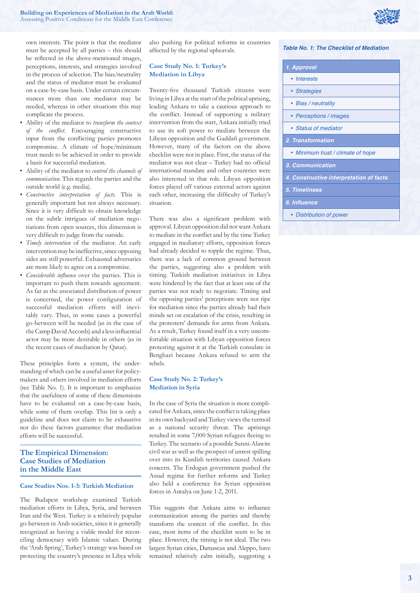

own interests. The point is that the mediator must be accepted by all parties – this should be reflected in the above-mentioned images, perceptions, interests, and strategies involved in the process of selection. The bias/neutrality and the status of mediator must be evaluated on a case-by-case basis. Under certain circumstances more than one mediator may be needed, whereas in other situations this may complicate the process.

- Ability of the mediator to *transform the context*  of the conflict. Encouraging constructive input from the conflicting parties promotes compromise. A climate of hope/minimum trust needs to be achieved in order to provide a basis for successful mediation.
- Ability of the mediator to *control the channels of communication*. This regards the parties and the outside world (e.g. media).
- *Constructive interpretation of facts*. This is generally important but not always necessary. Since it is very difficult to obtain knowledge on the subtle intrigues of mediation negotiations from open sources, this dimension is very difficult to judge from the outside.
- *Timely intervention* of the mediator. An early intervention may be ineffective, since opposing sides are still powerful. Exhausted adversaries are more likely to agree on a compromise.
- *Considerable influence* over the parties. This is important to push them towards agreement. As far as the associated distribution of power is concerned, the power configuration of successful mediation efforts will inevitably vary. Thus, in some cases a powerful go-between will be needed (as in the case of the Camp David Accords) and a less influential actor may be more desirable in others (as in the recent cases of mediation by Qatar).

These principles form a system, the understanding of which can be a useful asset for policymakers and others involved in mediation efforts (see Table No. 1). It is important to emphasize that the usefulness of some of these dimensions have to be evaluated on a case-by-case basis, while some of them overlap. This list is only a guideline and does not claim to be exhaustive nor do these factors guarantee that mediation efforts will be successful.

# **The Empirical Dimension: Case Studies of Mediation in the Middle East**

#### **Case Studies Nos. 1-3: Turkish Mediation**

The Budapest workshop examined Turkish mediation efforts in Libya, Syria, and between Iran and the West. Turkey is a relatively popular go-between in Arab societies, since it is generally recognized as having a viable model for reconciling democracy with Islamic values. During the 'Arab Spring', Turkey's strategy was based on protecting the country's presence in Libya while

also pushing for political reforms in countries affected by the regional upheavals.

#### **Case Study No. 1: Turkey's Mediation in Libya**

Twenty-five thousand Turkish citizens were living in Libya at the start of the political uprising, leading Ankara to take a cautious approach to the conflict. Instead of supporting a military intervention from the start, Ankara initially tried to use its soft power to mediate between the Libyan opposition and the Gaddafi government. However, many of the factors on the above checklist were not in place. First, the status of the mediator was not clear - Turkey had no official international mandate and other countries were also interested in that role. Libyan opposition forces played off various external actors against each other, increasing the difficulty of Turkey's situation.

There was also a significant problem with approval. Libyan opposition did not want Ankara to mediate in the conflict and by the time Turkey engaged in mediatory efforts, opposition forces had already decided to topple the regime. Thus, there was a lack of common ground between the parties, suggesting also a problem with timing. Turkish mediation initiatives in Libya were hindered by the fact that at least one of the parties was not ready to negotiate. Timing and the opposing parties' perceptions were not ripe for mediation since the parties already had their minds set on escalation of the crisis, resulting in the protesters' demands for arms from Ankara. As a result, Turkey found itself in a very uncomfortable situation with Libyan opposition forces protesting against it at the Turkish consulate in Benghazi because Ankara refused to arm the rebels.

#### **Case Study No. 2: Turkey's Mediation in Syria**

In the case of Syria the situation is more complicated for Ankara, since the conflict is taking place in its own backyard and Turkey views the turmoil as a national security threat. The uprisings resulted in some 7,000 Syrian refugees fleeing to Turkey. The scenario of a possible Sunni-Alawite civil war as well as the prospect of unrest spilling over into its Kurdish territories caused Ankara concern. The Erdogan government pushed the Assad regime for further reforms and Turkey also held a conference for Syrian opposition forces in Antalya on June 1-2, 2011.

This suggests that Ankara aims to influence communication among the parties and thereby transform the context of the conflict. In this case, most items of the checklist seem to be in place. However, the timing is not ideal. The two largest Syrian cities, Damascus and Aleppo, have remained relatively calm initially, suggesting a

#### *Table No. 1: The Checklist of Mediation*

| 1. Approval                             |  |  |
|-----------------------------------------|--|--|
| • Interests                             |  |  |
| • Strategies                            |  |  |
| • Bias / neutrality                     |  |  |
| • Perceptions / images                  |  |  |
| • Status of mediator                    |  |  |
| 2. Transformation                       |  |  |
| • Minimum trust / climate of hope       |  |  |
| 3. Communication                        |  |  |
| 4. Constructive interpretation of facts |  |  |
| <b>5. Timeliness</b>                    |  |  |
| 6. Influence                            |  |  |
| • Distribution of power                 |  |  |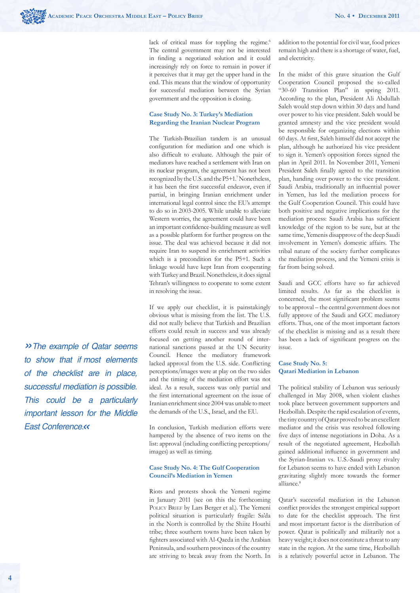lack of critical mass for toppling the regime.<sup>6</sup> The central government may not be interested in finding a negotiated solution and it could increasingly rely on force to remain in power if it perceives that it may get the upper hand in the end. This means that the window of opportunity for successful mediation between the Syrian government and the opposition is closing.

### **Case Study No. 3: Turkey's Mediation Regarding the Iranian Nuclear Program**

The Turkish-Brazilian tandem is an unusual configuration for mediation and one which is also difficult to evaluate. Although the pair of mediators have reached a settlement with Iran on its nuclear program, the agreement has not been recognized by the U.S. and the P5+1.7 Nonetheless, it has been the first successful endeavor, even if partial, in bringing Iranian enrichment under international legal control since the EU's attempt to do so in 2003-2005. While unable to alleviate Western worries, the agreement could have been an important confidence-building measure as well as a possible platform for further progress on the issue. The deal was achieved because it did not require Iran to suspend its enrichment activities which is a precondition for the P5+1. Such a linkage would have kept Iran from cooperating with Turkey and Brazil. Nonetheless, it does signal Tehran's willingness to cooperate to some extent in resolving the issue.

If we apply our checklist, it is painstakingly obvious what is missing from the list. The U.S. did not really believe that Turkish and Brazilian efforts could result in success and was already focused on getting another round of international sanctions passed at the UN Security Council. Hence the mediatory framework lacked approval from the U.S. side. Conflicting perceptions/images were at play on the two sides and the timing of the mediation effort was not ideal. As a result, success was only partial and the first international agreement on the issue of Iranian enrichment since 2004 was unable to meet the demands of the U.S., Israel, and the EU.

In conclusion, Turkish mediation efforts were hampered by the absence of two items on the list: approval (including conflicting perceptions/ images) as well as timing.

## **Case Study No. 4: The Gulf Cooperation Council's Mediation in Yemen**

Riots and protests shook the Yemeni regime in January 2011 (see on this the forthcoming POLICY BRIEF by Lars Berger et al.). The Yemeni political situation is particularly fragile: Sa'da in the North is controlled by the Shiite Houthi tribe; three southern towns have been taken by fighters associated with Al-Qaeda in the Arabian Peninsula, and southern provinces of the country are striving to break away from the North. In addition to the potential for civil war, food prices remain high and there is a shortage of water, fuel, and electricity.

In the midst of this grave situation the Gulf Cooperation Council proposed the so-called "30-60 Transition Plan" in spring 2011. According to the plan, President Ali Abdullah Saleh would step down within 30 days and hand over power to his vice president. Saleh would be granted amnesty and the vice president would be responsible for organizing elections within 60 days. At first, Saleh himself did not accept the plan, although he authorized his vice president to sign it. Yemen's opposition forces signed the plan in April 2011. In November 2011, Yemeni President Saleh finally agreed to the transition plan, handing over power to the vice president. Saudi Arabia, traditionally an influential power in Yemen, has led the mediation process for the Gulf Cooperation Council. This could have both positive and negative implications for the mediation process: Saudi Arabia has sufficient knowledge of the region to be sure, but at the same time, Yemenis disapprove of the deep Saudi involvement in Yemen's domestic affairs. The tribal nature of the society further complicates the mediation process, and the Yemeni crisis is far from being solved.

Saudi and GCC efforts have so far achieved limited results. As far as the checklist is concerned, the most significant problem seems to be approval – the central government does not fully approve of the Saudi and GCC mediatory efforts. Thus, one of the most important factors of the checklist is missing and as a result there has been a lack of significant progress on the issue.

#### **Case Study No. 5: Qatari Mediation in Lebanon**

The political stability of Lebanon was seriously challenged in May 2008, when violent clashes took place between government supporters and Hezbollah. Despite the rapid escalation of events, the tiny country of Qatar proved to be an excellent mediator and the crisis was resolved following five days of intense negotiations in Doha. As a result of the negotiated agreement, Hezbollah gained additional influence in government and the Syrian-Iranian vs. U.S.-Saudi proxy rivalry for Lebanon seems to have ended with Lebanon gravitating slightly more towards the former alliance.8

Qatar's successful mediation in the Lebanon conflict provides the strongest empirical support to date for the checklist approach. The first and most important factor is the distribution of power. Qatar is politically and militarily not a heavy weight; it does not constitute a threat to any state in the region. At the same time, Hezbollah is a relatively powerful actor in Lebanon. The

*»The example of Qatar seems to show that if most elements of the checklist are in place, successful mediation is possible. This could be a particularly important lesson for the Middle East Conference. «*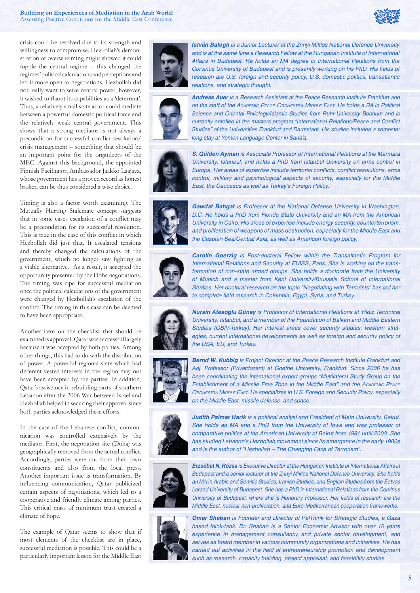

crisis could be resolved due to its strength and willingness to compromise. Hezbollah's demonstration of overwhelming might showed it could topple the central regime – this changed the regimes' political calculations and perceptions and left it more open to negotiations. Hezbollah did not really want to seize central power, however, it wished to flaunt its capabilities as a 'deterrent'. Thus, a relatively small state actor could mediate between a powerful domestic political force and the relatively weak central government. This shows that a strong mediator is not always a precondition for successful conflict resolution/ crisis management – something that should be an important point for the organizers of the MEC. Against this background, the appointed Finnish Facilitator, Ambassador Jaakko Laajava, whose government has a proven record as honest broker, can be thus considered a wise choice.

Timing is also a factor worth examining. The Mutually Hurting Stalemate concept suggests that in some cases escalation of a conflict may be a precondition for its successful resolution. This is true in the case of this conflict in which Hezbollah did just that. It escalated tensions and thereby changed the calculations of the government, which no longer saw fighting as a viable alternative. As a result, it accepted the opportunity presented by the Doha negotiations. The timing was ripe for successful mediation once the political calculations of the government were changed by Hezbollah's escalation of the conflict. The timing in this case can be deemed to have been appropriate.

Another item on the checklist that should be examined is approval. Qatar was successful largely because it was accepted by both parties. Among other things, this had to do with the distribution of power. A powerful regional state which had different vested interests in the region may not have been accepted by the parties. In addition, Qatar's assistance in rebuilding parts of southern Lebanon after the 2006 War between Israel and Hezbollah helped in securing their approval since both parties acknowledged these efforts.

In the case of the Lebanese conflict, communication was controlled extensively by the mediator. First, the negotiation site (Doha) was geographically removed from the actual conflict. Accordingly, parties were cut from their own constituents and also from the local press. Another important issue is transformation. By influencing communication, Qatar publicized certain aspects of negotiations, which led to a cooperative and friendly climate among parties. This critical mass of minimum trust created a climate of hope.

The example of Qatar seems to show that if most elements of the checklist are in place, successful mediation is possible. This could be a particularly important lesson for the Middle East



*István Balogh* is a Junior Lecturer at the Zrinyi Miklos National Defence University and is at the same time a Research Fellow at the Hungarian Institute of International Affairs in Budapest. He holds an MA degree in International Relations from the Corvinus University of Budapest and is presently working on his PhD. His fields of *research are U.S. foreign and security policy, U.S. domestic politics, transatlantic relations, and strategic thought.*



*Andreas Auer* is a Research Assistant at the Peace Research Institute Frankfurt and *on the staff of the ACADEMIC PEACE ORCHESTRA MIDDLE EAST. He holds a BA in Political*  Science and Oriental Philology/Islamic Studies from Ruhr-University Bochum and is currently enrolled in the masters program "International Relations/Peace and Conflict Studies" of the Universities Frankfurt and Darmstadt. His studies included a semester *long stay at Yemen Language Center in Sana'a.*



*S. Gülden Ayman* is Associate Professor of International Relations at the Marmara University, Istanbul, and holds a PhD from Istanbul University on arms control in Europe. Her areas of expertise include territorial conflicts, conflict resolutions, arms *control, military and psychological aspects of security, especially for the Middle East, the Caucasus as well as Turkey's Foreign Policy.*



*Gawdat Bahgat* is Professor at the National Defense University in Washington, D.C. He holds a PhD from Florida State University and an MA from the American *University in Cairo. His areas of expertise include energy security, counterterrorism, and proliferation of weapons of mass destruction, especially for the Middle East and the Caspian Sea/Central Asia, as well as American foreign policy.*



*Carolin Goerzig is Post-doctoral Fellow within the Transaltantic Program for*  International Relations and Security at EUISS, Paris. She is working on the trans*formation of non-state armed groups. She holds a doctorate from the University*  of Munich and a master from Kent University/Brussels School of International *Studies. Her doctoral research on the topic "Negotiating with Terrorists" has led her*  to complete field research in Colombia, Egypt, Syria, and Turkey.



*Nursin Atesoglu Güney* is Professor of International Relations at Yildiz Technical *University, Istanbul, and a member of the Foundation of Balkan and Middle Eastern Studies (OBIV-Turkey). Her interest areas cover security studies, western strategies, current international developments as well as foreign and security policy of the USA, EU, and Turkey.*



**Bernd W. Kubbig** is Project Director at the Peace Research Institute Frankfurt and Adj. Professor (Privatdozent) at Goethe University, Frankfurt. Since 2006 he has *been coordinating the international expert groups "Multilateral Study Group on the Establishment of a Missile Free Zone in the Middle East" and the ACADEMIC PEACE ORCHESTRA MIDDLE EAST. He specializes in U.S. Foreign and Security Policy, especially on the Middle East, missile defense, and space.*



*Judith Palmer Harik is a political analyst and President of Matn University, Beirut.*  She holds an MA and a PhD from the University of Iowa and was professor of comparative politics at the American University of Beirut from 1981 until 2003. She *has studied Lebanon's Hezbollah movement since its emergence in the early 1980s and is the author of "Hezbollah – The Changing Face of Terrorism".*



*Erzsébet N. Rózsa* is Executive Director at the Hungarian Institute of International Affairs in Budapest and a senior lecturer at the Zrinyi Miklos National Defence University. She holds *an MA in Arabic and Semitic Studies, Iranian Studies, and English Studies from the Eotvos*  Lorand University of Budapest. She has a PhD in International Relations from the Corvinus University of Budapest, where she is Honorary Professor. Her fields of research are the *Middle East, nuclear non-proliferation, and Euro-Mediterranean cooperation frameworks.*



*Omar Shaban* is Founder and Director of PalThink for Strategic Studies, a Gaza based think-tank. Dr. Shaban is a Senior Economic Advisor with over 15 years *experience in management consultancy and private sector development, and serves as board member in various community organizations and initiatives. He has*  carried out activities in the field of entrepreneurship promotion and development such as research, capacity building, project appraisal, and feasibility studies.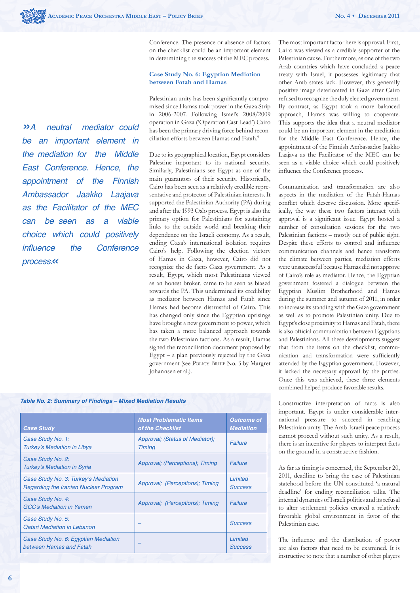*»A neutral mediator could be an important element in the mediation for the Middle East Conference. Hence, the appointment of the Finnish*  Ambassador Jaakko Laajava *as the Facilitator of the MEC can be seen as a viable choice which could positively*  influence the Conference *process.«*

Conference. The presence or absence of factors on the checklist could be an important element in determining the success of the MEC process.

#### **Case Study No. 6: Egyptian Mediation between Fatah and Hamas**

Palestinian unity has been significantly compromised since Hamas took power in the Gaza Strip in 2006-2007. Following Israel's 2008/2009 operation in Gaza ('Operation Cast Lead') Cairo has been the primary driving force behind reconciliation efforts between Hamas and Fatah.9

Due to its geographical location, Egypt considers Palestine important to its national security. Similarly, Palestinians see Egypt as one of the main guarantors of their security. Historically, Cairo has been seen as a relatively credible representative and protector of Palestinian interests. It supported the Palestinian Authority (PA) during and after the 1993 Oslo process. Egypt is also the primary option for Palestinians for sustaining links to the outside world and breaking their dependence on the Israeli economy. As a result, ending Gaza's international isolation requires Cairo's help. Following the election victory of Hamas in Gaza, however, Cairo did not recognize the de facto Gaza government. As a result, Egypt, which most Palestinians viewed as an honest broker, came to be seen as biased towards the PA. This undermined its credibility as mediator between Hamas and Fatah since Hamas had become distrustful of Cairo. This has changed only since the Egyptian uprisings have brought a new government to power, which has taken a more balanced approach towards the two Palestinian factions. As a result, Hamas signed the reconciliation document proposed by Egypt – a plan previously rejected by the Gaza government (see POLICY BRIEF No. 3 by Margret Johannsen et al.).

#### *Table No. 2: Summary of Findings – Mixed Mediation Results*

| <b>Case Study</b>                                                                    | <b>Most Problematic Items</b><br>of the Checklist | <b>Outcome of</b><br><b>Mediation</b> |  |
|--------------------------------------------------------------------------------------|---------------------------------------------------|---------------------------------------|--|
| Case Study No. 1:<br><b>Turkey's Mediation in Libya</b>                              | Approval; (Status of Mediator);<br><b>Timing</b>  | Failure                               |  |
| Case Study No. 2:<br><b>Turkey's Mediation in Syria</b>                              | Approval; (Perceptions); Timing                   | Failure                               |  |
| Case Study No. 3: Turkey's Mediation<br><b>Regarding the Iranian Nuclear Program</b> | Approval; (Perceptions); Timing                   | Limited<br><b>Success</b>             |  |
| Case Study No. 4:<br><b>GCC's Mediation in Yemen</b>                                 | Approval; (Perceptions); Timing                   | Failure                               |  |
| Case Study No. 5:<br><b>Oatari Mediation in Lebanon</b>                              |                                                   | <b>Success</b>                        |  |
| Case Study No. 6: Egyptian Mediation<br>between Hamas and Fatah                      |                                                   | Limited<br>Success                    |  |
|                                                                                      |                                                   |                                       |  |

The most important factor here is approval. First, Cairo was viewed as a credible supporter of the Palestinian cause. Furthermore, as one of the two Arab countries which have concluded a peace treaty with Israel, it possesses legitimacy that other Arab states lack. However, this generally positive image deteriorated in Gaza after Cairo refused to recognize the duly elected government. By contrast, as Egypt took a more balanced approach, Hamas was willing to cooperate. This supports the idea that a neutral mediator could be an important element in the mediation for the Middle East Conference. Hence, the appointment of the Finnish Ambassador Jaakko Laajava as the Facilitator of the MEC can be seen as a viable choice which could positively influence the Conference process.

Communication and transformation are also aspects in the mediation of the Fatah-Hamas conflict which deserve discussion. More specifically, the way these two factors interact with approval is a significant issue. Egypt hosted a number of consultation sessions for the two Palestinian factions – mostly out of public sight. Despite these efforts to control and influence communication channels and hence transform the climate between parties, mediation efforts were unsuccessful because Hamas did not approve of Cairo's role as mediator. Hence, the Egyptian government fostered a dialogue between the Egyptian Muslim Brotherhood and Hamas during the summer and autumn of 2011, in order to increase its standing with the Gaza government as well as to promote Palestinian unity. Due to Egypt's close proximity to Hamas and Fatah, there is also official communication between Egyptians and Palestinians. All these developments suggest that from the items on the checklist, communication and transformation were sufficiently attended by the Egyptian government. However, it lacked the necessary approval by the parties. Once this was achieved, these three elements combined helped produce favorable results.

Constructive interpretation of facts is also important. Egypt is under considerable international pressure to succeed in reaching Palestinian unity. The Arab-Israeli peace process cannot proceed without such unity. As a result, there is an incentive for players to interpret facts on the ground in a constructive fashion.

As far as timing is concerned, the September 20, 2011, deadline to bring the case of Palestinian statehood before the UN constituted 'a natural deadline' for ending reconciliation talks. The internal dynamics of Israeli politics and its refusal to alter settlement policies created a relatively favorable global environment in favor of the Palestinian case.

The influence and the distribution of power are also factors that need to be examined. It is instructive to note that a number of other players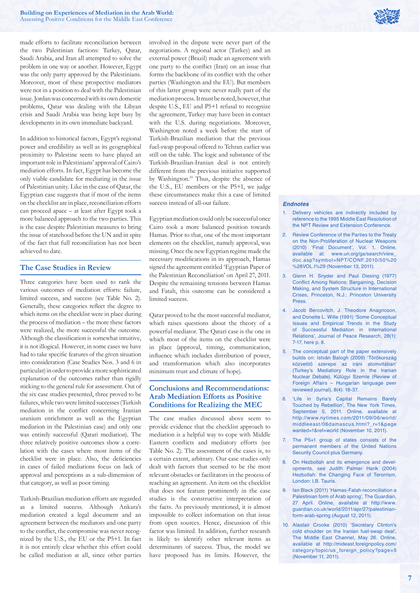

made efforts to facilitate reconciliation between the two Palestinian factions: Turkey, Qatar, Saudi Arabia, and Iran all attempted to solve the problem in one way or another. However, Egypt was the only party approved by the Palestinians. Moreover, most of these prospective mediators were not in a position to deal with the Palestinian issue. Jordan was concerned with its own domestic problems, Qatar was dealing with the Libyan crisis and Saudi Arabia was being kept busy by developments in its own immediate backyard.

In addition to historical factors, Egypt's regional power and credibility as well as its geographical proximity to Palestine seem to have played an important role in Palestinians' approval of Cairo's mediation efforts. In fact, Egypt has become the only viable candidate for mediating in the issue of Palestinian unity. Like in the case of Qatar, the Egyptian case suggests that if most of the items on the checklist are in place, reconciliation efforts can proceed apace – at least after Egypt took a more balanced approach to the two parties. This is the case despite Palestinian measures to bring the issue of statehood before the UN and in spite of the fact that full reconciliation has not been achieved to date.

# **The Case Studies in Review**

Three categories have been used to rank the various outcomes of mediation efforts: failure, limited success, and success (see Table No. 2). Generally, these categories reflect the degree to which items on the checklist were in place during the process of mediation – the more these factors were realized, the more successful the outcome. Although the classification is somewhat intuitive, it is not illogical. However, in some cases we have had to take specific features of the given situation into consideration (Case Studies Nos. 3 and 6 in particular) in order to provide a more sophisticated explanation of the outcomes rather than rigidly sticking to the general rule for assessment. Out of the six case studies presented, three proved to be failures, while two were limited successes (Turkish mediation in the conflict concerning Iranian uranium enrichment as well as the Egyptian mediation in the Palestinian case) and only one was entirely successful (Qatari mediation). The three relatively positive outcomes show a correlation with the cases where most items of the checklist were in place. Also, the deficiencies in cases of failed mediations focus on lack of approval and perceptions as a sub-dimension of that category, as well as poor timing.

Turkish-Brazilian mediation efforts are regarded as a limited success. Although Ankara's mediation created a legal document and an agreement between the mediators and one party to the conflict, the compromise was never recognized by the U.S., the EU or the P5+1. In fact it is not entirely clear whether this effort could be called mediation at all, since other parties involved in the dispute were never part of the negotiations. A regional actor (Turkey) and an external power (Brazil) made an agreement with one party to the conflict (Iran) on an issue that forms the backbone of its conflict with the other parties (Washington and the EU). But members of this latter group were never really part of the mediation process. It must be noted, however, that despite U.S., EU and P5+1 refusal to recognize the agreement, Turkey may have been in contact with the U.S. during negotiations. Moreover, Washington noted a week before the start of Turkish-Brazilian mediation that the previous fuel-swap proposal offered to Tehran earlier was still on the table. The logic and substance of the Turkish-Brazilian-Iranian deal is not entirely different from the previous initiative supported by Washington.10 Thus, despite the absence of the U.S., EU members or the P5+1, we judge these circumstances make this a case of limited success instead of all-out failure.

Egyptian mediation could only be successful once Cairo took a more balanced position towards Hamas. Prior to that, one of the most important elements on the checklist, namely approval, was missing. Once the new Egyptian regime made the necessary modifications in its approach. Hamas signed the agreement entitled 'Egyptian Paper of the Palestinian Reconciliation' on April 27, 2011. Despite the remaining tensions between Hamas and Fatah, this outcome can be considered a limited success.

Qatar proved to be the most successful mediator, which raises questions about the theory of a powerful mediator. The Qatari case is the one in which most of the items on the checklist were in place (approval, timing, communication, influence which includes distribution of power, and transformation which also incorporates minimum trust and climate of hope).

## **Conclusions and Recommendations: Arab Mediation Efforts as Positive Conditions for Realizing the MEC**

The case studies discussed above seem to provide evidence that the checklist approach to mediation is a helpful way to cope with Middle Eastern conflicts and mediatory efforts (see Table No. 2). The assessment of the cases is, to a certain extent, arbitrary. Our case studies only dealt with factors that seemed to be the most relevant obstacles or facilitators in the process of reaching an agreement. An item on the checklist that does not feature prominently in the case studies is the constructive interpretation of the facts. As previously mentioned, it is almost impossible to collect information on that issue from open sources. Hence, discussion of this factor was limited. In addition, further research is likely to identify other relevant items as determinants of success. Thus, the model we have proposed has its limits. However, the

#### *Endnotes*

- 1. Delivery vehicles are indirectly included by reference to the 1995 Middle East Resolution of the NPT Review and Extension Conference.
- 2. Review Conference of the Parties to the Treaty on the Non-Proliferation of Nuclear Weapons (2010) 'Final Document', Vol. 1. Online, available at: www.un.org/ga/search/view\_ doc.asp?symbol=NPT/CONF.2010/50%20 %28VOL.I%29 (November 13, 2011).
- 3. Glenn H. Snyder and Paul Diesing (1977) Conflict Among Nations: Bargaining, Decision Making, and System Structure in International Crises, Princeton, N.J.: Princeton University Press.
- 4. Jacob Bercovitch, J. Theodore Anagnoson, and Donette L. Wille (1991) 'Some Conceptual Issues and Empirical Trends in the Study of Successful Mediation in International Relations', Journal of Peace Research, 28(1): 7-17, here p. 8.
- 5. The conceptual part of the paper extensively builds on: István Balogh (2009) 'Törökország közvetítő szerepe az iráni atomvitában' (Turkey's Mediatiory Role in the Iranian Nuclear Debate), Külügyi Szemle (Review of Foreign Affairs – Hungarian language peer reviewed journal), 8(4): 18-37.
- 6. 'Life in Syria's Capital Remains Barely Touched by Rebellion', The New York Times, September 5, 2011. Online, available at http://www.nytimes.com/2011/09/06/world/ middleeast/06damascus.html?\_r=1&page wanted=1&ref=world (November 10, 2011).
- 7. The P5+1 group of states consists of the permanent members of the United Nations Security Council plus Germany.
- 8. On Hezbollah and its emergence and developments, see Judith Palmer Harik (2004) Hezbollah: the Changing Face of Terorrism, London: I.B. Tauris.
- 9. Ian Black (2011) 'Hamas-Fatah reconciliation a Palestinian form of Arab spring', The Guardian, 27 April. Online, available at http://www. guardian.co.uk/world/2011/apr/27/palestinianform-arab-spring (August 12, 2011).
- 10. Alastair Crooke (2010) 'Secretary Clinton's cold shoulder on the Iranian fuel-swap deal', The Middle East Channel, May 26. Online, available at http://mideast.foreignpolicy.com/ category/topic/us\_foreign\_policy?page=5 (November 11, 2011).